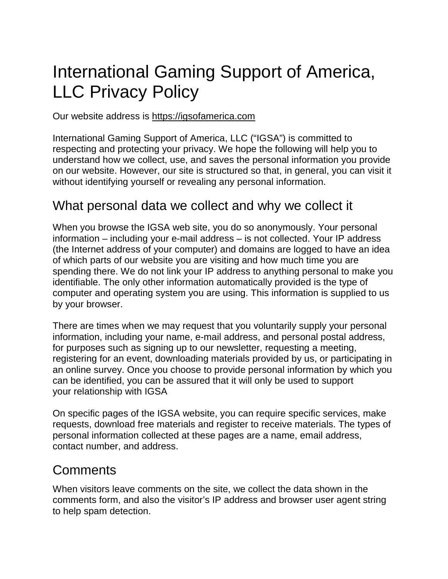# International Gaming Support of America, LLC Privacy Policy

Our website address is [https://igsofamerica.com](https://igsofamerica.com/)

International Gaming Support of America, LLC ("IGSA") is committed to respecting and protecting your privacy. We hope the following will help you to understand how we collect, use, and saves the personal information you provide on our website. However, our site is structured so that, in general, you can visit it without identifying yourself or revealing any personal information.

#### What personal data we collect and why we collect it

When you browse the IGSA web site, you do so anonymously. Your personal information – including your e-mail address – is not collected. Your IP address (the Internet address of your computer) and domains are logged to have an idea of which parts of our website you are visiting and how much time you are spending there. We do not link your IP address to anything personal to make you identifiable. The only other information automatically provided is the type of computer and operating system you are using. This information is supplied to us by your browser.

There are times when we may request that you voluntarily supply your personal information, including your name, e-mail address, and personal postal address, for purposes such as signing up to our newsletter, requesting a meeting, registering for an event, downloading materials provided by us, or participating in an online survey. Once you choose to provide personal information by which you can be identified, you can be assured that it will only be used to support your relationship with IGSA

On specific pages of the IGSA website, you can require specific services, make requests, download free materials and register to receive materials. The types of personal information collected at these pages are a name, email address, contact number, and address.

#### **Comments**

When visitors leave comments on the site, we collect the data shown in the comments form, and also the visitor's IP address and browser user agent string to help spam detection.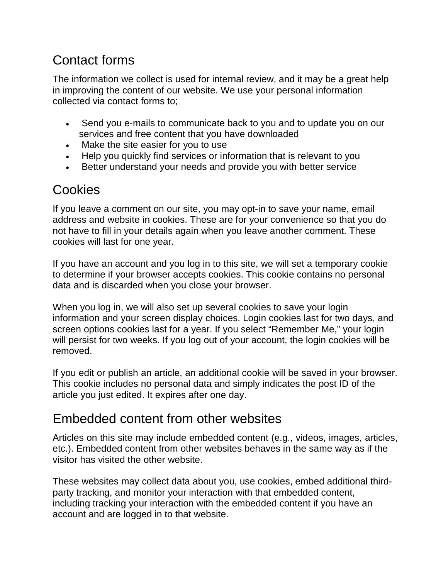## Contact forms

The information we collect is used for internal review, and it may be a great help in improving the content of our website. We use your personal information collected via contact forms to;

- Send you e-mails to communicate back to you and to update you on our services and free content that you have downloaded
- Make the site easier for you to use
- Help you quickly find services or information that is relevant to you
- Better understand your needs and provide you with better service

## Cookies

If you leave a comment on our site, you may opt-in to save your name, email address and website in cookies. These are for your convenience so that you do not have to fill in your details again when you leave another comment. These cookies will last for one year.

If you have an account and you log in to this site, we will set a temporary cookie to determine if your browser accepts cookies. This cookie contains no personal data and is discarded when you close your browser.

When you log in, we will also set up several cookies to save your login information and your screen display choices. Login cookies last for two days, and screen options cookies last for a year. If you select "Remember Me," your login will persist for two weeks. If you log out of your account, the login cookies will be removed.

If you edit or publish an article, an additional cookie will be saved in your browser. This cookie includes no personal data and simply indicates the post ID of the article you just edited. It expires after one day.

## Embedded content from other websites

Articles on this site may include embedded content (e.g., videos, images, articles, etc.). Embedded content from other websites behaves in the same way as if the visitor has visited the other website.

These websites may collect data about you, use cookies, embed additional thirdparty tracking, and monitor your interaction with that embedded content, including tracking your interaction with the embedded content if you have an account and are logged in to that website.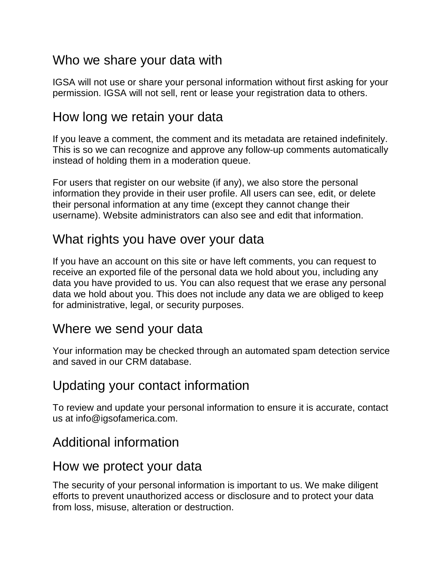### Who we share your data with

IGSA will not use or share your personal information without first asking for your permission. IGSA will not sell, rent or lease your registration data to others.

### How long we retain your data

If you leave a comment, the comment and its metadata are retained indefinitely. This is so we can recognize and approve any follow-up comments automatically instead of holding them in a moderation queue.

For users that register on our website (if any), we also store the personal information they provide in their user profile. All users can see, edit, or delete their personal information at any time (except they cannot change their username). Website administrators can also see and edit that information.

### What rights you have over your data

If you have an account on this site or have left comments, you can request to receive an exported file of the personal data we hold about you, including any data you have provided to us. You can also request that we erase any personal data we hold about you. This does not include any data we are obliged to keep for administrative, legal, or security purposes.

#### Where we send your data

Your information may be checked through an automated spam detection service and saved in our CRM database.

#### Updating your contact information

To review and update your personal information to ensure it is accurate, contact us at info@igsofamerica.com.

### Additional information

#### How we protect your data

The security of your personal information is important to us. We make diligent efforts to prevent unauthorized access or disclosure and to protect your data from loss, misuse, alteration or destruction.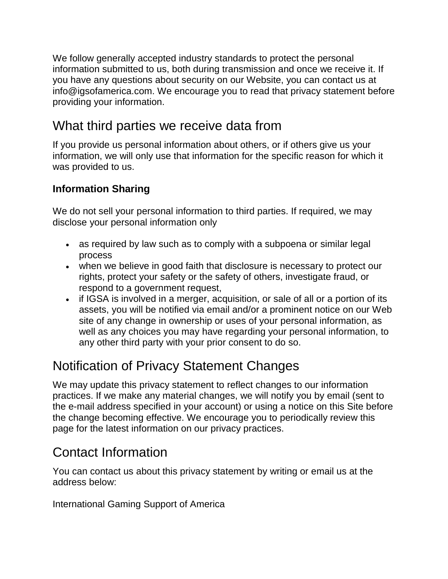We follow generally accepted industry standards to protect the personal information submitted to us, both during transmission and once we receive it. If you have any questions about security on our Website, you can contact us at info@igsofamerica.com. We encourage you to read that privacy statement before providing your information.

## What third parties we receive data from

If you provide us personal information about others, or if others give us your information, we will only use that information for the specific reason for which it was provided to us.

#### **Information Sharing**

We do not sell your personal information to third parties. If required, we may disclose your personal information only

- as required by law such as to comply with a subpoena or similar legal process
- when we believe in good faith that disclosure is necessary to protect our rights, protect your safety or the safety of others, investigate fraud, or respond to a government request,
- if IGSA is involved in a merger, acquisition, or sale of all or a portion of its assets, you will be notified via email and/or a prominent notice on our Web site of any change in ownership or uses of your personal information, as well as any choices you may have regarding your personal information, to any other third party with your prior consent to do so.

## Notification of Privacy Statement Changes

We may update this privacy statement to reflect changes to our information practices. If we make any material changes, we will notify you by email (sent to the e-mail address specified in your account) or using a notice on this Site before the change becoming effective. We encourage you to periodically review this page for the latest information on our privacy practices.

## Contact Information

You can contact us about this privacy statement by writing or email us at the address below:

International Gaming Support of America